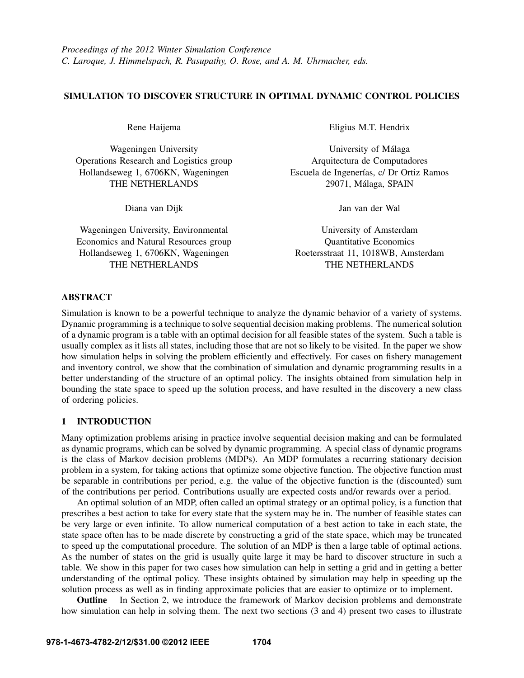## SIMULATION TO DISCOVER STRUCTURE IN OPTIMAL DYNAMIC CONTROL POLICIES

Rene Haijema

Wageningen University Operations Research and Logistics group Hollandseweg 1, 6706KN, Wageningen THE NETHERLANDS

Diana van Dijk

Wageningen University, Environmental Economics and Natural Resources group Hollandseweg 1, 6706KN, Wageningen THE NETHERLANDS

Eligius M.T. Hendrix

University of Málaga Arquitectura de Computadores Escuela de Ingenerías, c/ Dr Ortiz Ramos 29071, Málaga, SPAIN

Jan van der Wal

University of Amsterdam Quantitative Economics Roetersstraat 11, 1018WB, Amsterdam THE NETHERLANDS

# ABSTRACT

Simulation is known to be a powerful technique to analyze the dynamic behavior of a variety of systems. Dynamic programming is a technique to solve sequential decision making problems. The numerical solution of a dynamic program is a table with an optimal decision for all feasible states of the system. Such a table is usually complex as it lists all states, including those that are not so likely to be visited. In the paper we show how simulation helps in solving the problem efficiently and effectively. For cases on fishery management and inventory control, we show that the combination of simulation and dynamic programming results in a better understanding of the structure of an optimal policy. The insights obtained from simulation help in bounding the state space to speed up the solution process, and have resulted in the discovery a new class of ordering policies.

# 1 INTRODUCTION

Many optimization problems arising in practice involve sequential decision making and can be formulated as dynamic programs, which can be solved by dynamic programming. A special class of dynamic programs is the class of Markov decision problems (MDPs). An MDP formulates a recurring stationary decision problem in a system, for taking actions that optimize some objective function. The objective function must be separable in contributions per period, e.g. the value of the objective function is the (discounted) sum of the contributions per period. Contributions usually are expected costs and/or rewards over a period.

An optimal solution of an MDP, often called an optimal strategy or an optimal policy, is a function that prescribes a best action to take for every state that the system may be in. The number of feasible states can be very large or even infinite. To allow numerical computation of a best action to take in each state, the state space often has to be made discrete by constructing a grid of the state space, which may be truncated to speed up the computational procedure. The solution of an MDP is then a large table of optimal actions. As the number of states on the grid is usually quite large it may be hard to discover structure in such a table. We show in this paper for two cases how simulation can help in setting a grid and in getting a better understanding of the optimal policy. These insights obtained by simulation may help in speeding up the solution process as well as in finding approximate policies that are easier to optimize or to implement.

**Outline** In Section 2, we introduce the framework of Markov decision problems and demonstrate how simulation can help in solving them. The next two sections (3 and 4) present two cases to illustrate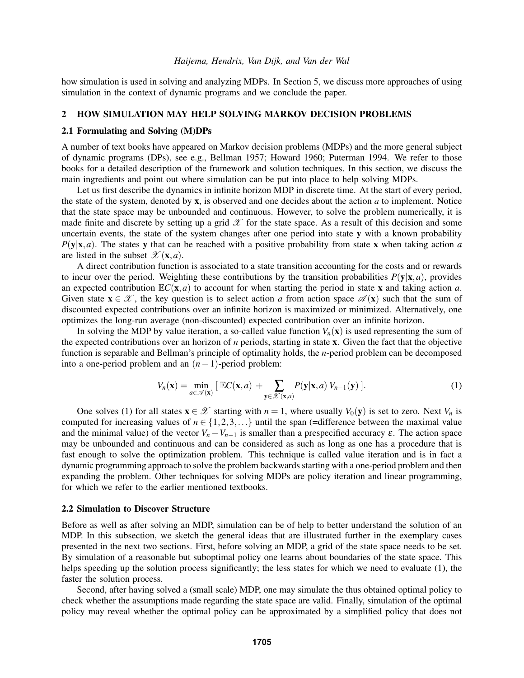how simulation is used in solving and analyzing MDPs. In Section 5, we discuss more approaches of using simulation in the context of dynamic programs and we conclude the paper.

## 2 HOW SIMULATION MAY HELP SOLVING MARKOV DECISION PROBLEMS

#### 2.1 Formulating and Solving (M)DPs

A number of text books have appeared on Markov decision problems (MDPs) and the more general subject of dynamic programs (DPs), see e.g., Bellman 1957; Howard 1960; Puterman 1994. We refer to those books for a detailed description of the framework and solution techniques. In this section, we discuss the main ingredients and point out where simulation can be put into place to help solving MDPs.

Let us first describe the dynamics in infinite horizon MDP in discrete time. At the start of every period, the state of the system, denoted by x, is observed and one decides about the action *a* to implement. Notice that the state space may be unbounded and continuous. However, to solve the problem numerically, it is made finite and discrete by setting up a grid  $\mathscr X$  for the state space. As a result of this decision and some uncertain events, the state of the system changes after one period into state y with a known probability  $P(y|\mathbf{x},a)$ . The states y that can be reached with a positive probability from state **x** when taking action *a* are listed in the subset  $\mathscr{X}(\mathbf{x}, a)$ .

A direct contribution function is associated to a state transition accounting for the costs and or rewards to incur over the period. Weighting these contributions by the transition probabilities  $P(y|x, a)$ , provides an expected contribution  $EC(x, a)$  to account for when starting the period in state x and taking action *a*. Given state  $x \in \mathcal{X}$ , the key question is to select action *a* from action space  $\mathcal{A}(x)$  such that the sum of discounted expected contributions over an infinite horizon is maximized or minimized. Alternatively, one optimizes the long-run average (non-discounted) expected contribution over an infinite horizon.

In solving the MDP by value iteration, a so-called value function  $V_n(\mathbf{x})$  is used representing the sum of the expected contributions over an horizon of *n* periods, starting in state x. Given the fact that the objective function is separable and Bellman's principle of optimality holds, the *n*-period problem can be decomposed into a one-period problem and an (*n*−1)-period problem:

$$
V_n(\mathbf{x}) = \min_{a \in \mathscr{A}(\mathbf{x})} \left[ \mathbb{E} C(\mathbf{x}, a) + \sum_{\mathbf{y} \in \mathscr{X}(\mathbf{x}, a)} P(\mathbf{y} | \mathbf{x}, a) V_{n-1}(\mathbf{y}) \right]. \tag{1}
$$

One solves (1) for all states  $\mathbf{x} \in \mathcal{X}$  starting with  $n = 1$ , where usually  $V_0(\mathbf{y})$  is set to zero. Next  $V_n$  is computed for increasing values of  $n \in \{1,2,3,...\}$  until the span (=difference between the maximal value and the minimal value) of the vector  $V_n - V_{n-1}$  is smaller than a prespecified accuracy  $\varepsilon$ . The action space may be unbounded and continuous and can be considered as such as long as one has a procedure that is fast enough to solve the optimization problem. This technique is called value iteration and is in fact a dynamic programming approach to solve the problem backwards starting with a one-period problem and then expanding the problem. Other techniques for solving MDPs are policy iteration and linear programming, for which we refer to the earlier mentioned textbooks.

#### 2.2 Simulation to Discover Structure

Before as well as after solving an MDP, simulation can be of help to better understand the solution of an MDP. In this subsection, we sketch the general ideas that are illustrated further in the exemplary cases presented in the next two sections. First, before solving an MDP, a grid of the state space needs to be set. By simulation of a reasonable but suboptimal policy one learns about boundaries of the state space. This helps speeding up the solution process significantly; the less states for which we need to evaluate (1), the faster the solution process.

Second, after having solved a (small scale) MDP, one may simulate the thus obtained optimal policy to check whether the assumptions made regarding the state space are valid. Finally, simulation of the optimal policy may reveal whether the optimal policy can be approximated by a simplified policy that does not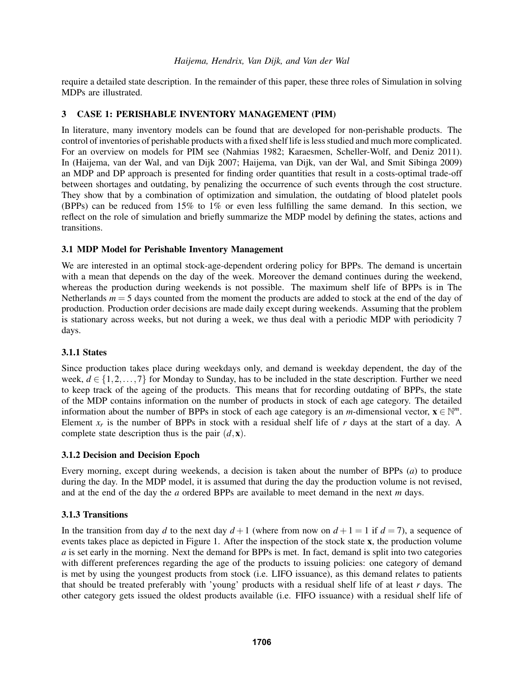require a detailed state description. In the remainder of this paper, these three roles of Simulation in solving MDPs are illustrated.

## 3 CASE 1: PERISHABLE INVENTORY MANAGEMENT (PIM)

In literature, many inventory models can be found that are developed for non-perishable products. The control of inventories of perishable products with a fixed shelf life is less studied and much more complicated. For an overview on models for PIM see (Nahmias 1982; Karaesmen, Scheller-Wolf, and Deniz 2011). In (Haijema, van der Wal, and van Dijk 2007; Haijema, van Dijk, van der Wal, and Smit Sibinga 2009) an MDP and DP approach is presented for finding order quantities that result in a costs-optimal trade-off between shortages and outdating, by penalizing the occurrence of such events through the cost structure. They show that by a combination of optimization and simulation, the outdating of blood platelet pools (BPPs) can be reduced from 15% to 1% or even less fulfilling the same demand. In this section, we reflect on the role of simulation and briefly summarize the MDP model by defining the states, actions and transitions.

## 3.1 MDP Model for Perishable Inventory Management

We are interested in an optimal stock-age-dependent ordering policy for BPPs. The demand is uncertain with a mean that depends on the day of the week. Moreover the demand continues during the weekend, whereas the production during weekends is not possible. The maximum shelf life of BPPs is in The Netherlands  $m = 5$  days counted from the moment the products are added to stock at the end of the day of production. Production order decisions are made daily except during weekends. Assuming that the problem is stationary across weeks, but not during a week, we thus deal with a periodic MDP with periodicity 7 days.

### 3.1.1 States

Since production takes place during weekdays only, and demand is weekday dependent, the day of the week,  $d \in \{1, 2, ..., 7\}$  for Monday to Sunday, has to be included in the state description. Further we need to keep track of the ageing of the products. This means that for recording outdating of BPPs, the state of the MDP contains information on the number of products in stock of each age category. The detailed information about the number of BPPs in stock of each age category is an *m*-dimensional vector,  $\mathbf{x} \in \mathbb{N}^m$ . Element  $x_r$  is the number of BPPs in stock with a residual shelf life of  $r$  days at the start of a day. A complete state description thus is the pair  $(d, \mathbf{x})$ .

### 3.1.2 Decision and Decision Epoch

Every morning, except during weekends, a decision is taken about the number of BPPs (*a*) to produce during the day. In the MDP model, it is assumed that during the day the production volume is not revised, and at the end of the day the *a* ordered BPPs are available to meet demand in the next *m* days.

# 3.1.3 Transitions

In the transition from day *d* to the next day  $d+1$  (where from now on  $d+1=1$  if  $d=7$ ), a sequence of events takes place as depicted in Figure 1. After the inspection of the stock state x, the production volume *a* is set early in the morning. Next the demand for BPPs is met. In fact, demand is split into two categories with different preferences regarding the age of the products to issuing policies: one category of demand is met by using the youngest products from stock (i.e. LIFO issuance), as this demand relates to patients that should be treated preferably with 'young' products with a residual shelf life of at least *r* days. The other category gets issued the oldest products available (i.e. FIFO issuance) with a residual shelf life of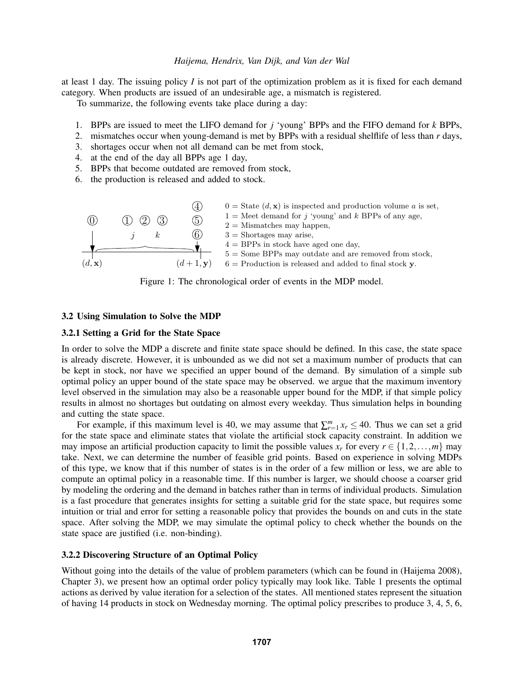at least 1 day. The issuing policy *I* is not part of the optimization problem as it is fixed for each demand category. When products are issued of an undesirable age, a mismatch is registered.

To summarize, the following events take place during a day:

- 1. BPPs are issued to meet the LIFO demand for *j* 'young' BPPs and the FIFO demand for *k* BPPs,
- 2. mismatches occur when young-demand is met by BPPs with a residual shelflife of less than *r* days,
- 3. shortages occur when not all demand can be met from stock,
- 4. at the end of the day all BPPs age 1 day,
- 5. BPPs that become outdated are removed from stock,
- 6. the production is released and added to stock.

0 1 2 3 5 4 6 (d, x) (d + 1, y) j k 0 = State (d, x) is inspected and production volume a is set, 1 = Meet demand for j 'young' and k BPPs of any age, 2 = Mismatches may happen, 3 = Shortages may arise, 4 = BPPs in stock have aged one day, 5 = Some BPPs may outdate and are removed from stock, 6 = Production is released and added to final stock y.

Figure 1: The chronological order of events in the MDP model.

### 3.2 Using Simulation to Solve the MDP

### 3.2.1 Setting a Grid for the State Space

In order to solve the MDP a discrete and finite state space should be defined. In this case, the state space is already discrete. However, it is unbounded as we did not set a maximum number of products that can be kept in stock, nor have we specified an upper bound of the demand. By simulation of a simple sub optimal policy an upper bound of the state space may be observed. we argue that the maximum inventory level observed in the simulation may also be a reasonable upper bound for the MDP, if that simple policy results in almost no shortages but outdating on almost every weekday. Thus simulation helps in bounding and cutting the state space.

For example, if this maximum level is 40, we may assume that  $\sum_{r=1}^{m} x_r \leq 40$ . Thus we can set a grid for the state space and eliminate states that violate the artificial stock capacity constraint. In addition we may impose an artificial production capacity to limit the possible values  $x_r$  for every  $r \in \{1,2,\ldots,m\}$  may take. Next, we can determine the number of feasible grid points. Based on experience in solving MDPs of this type, we know that if this number of states is in the order of a few million or less, we are able to compute an optimal policy in a reasonable time. If this number is larger, we should choose a coarser grid by modeling the ordering and the demand in batches rather than in terms of individual products. Simulation is a fast procedure that generates insights for setting a suitable grid for the state space, but requires some intuition or trial and error for setting a reasonable policy that provides the bounds on and cuts in the state space. After solving the MDP, we may simulate the optimal policy to check whether the bounds on the state space are justified (i.e. non-binding).

### 3.2.2 Discovering Structure of an Optimal Policy

Without going into the details of the value of problem parameters (which can be found in (Haijema 2008), Chapter 3), we present how an optimal order policy typically may look like. Table 1 presents the optimal actions as derived by value iteration for a selection of the states. All mentioned states represent the situation of having 14 products in stock on Wednesday morning. The optimal policy prescribes to produce 3, 4, 5, 6,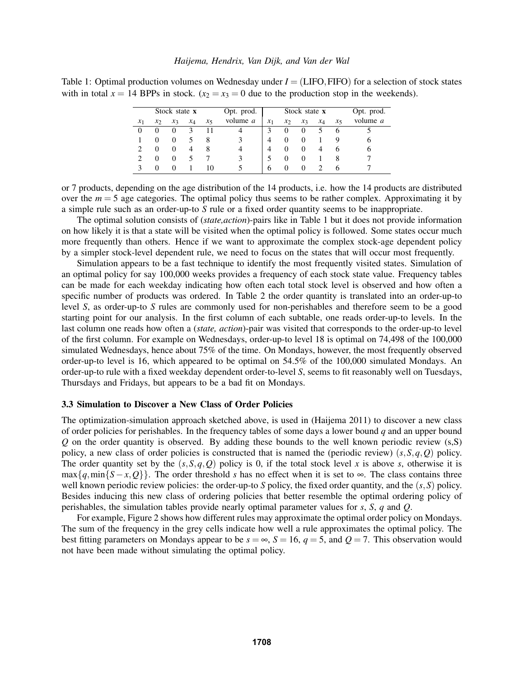| Table 1: Optimal production volumes on Wednesday under $I = (LIFO, FIFO)$ for a selection of stock states |  |
|-----------------------------------------------------------------------------------------------------------|--|
| with in total $x = 14$ BPPs in stock. $(x_2 = x_3 = 0$ due to the production stop in the weekends).       |  |

|                 |               | Stock state x |       |         | Opt. prod. |              | Stock state x | Opt. prod. |       |         |          |
|-----------------|---------------|---------------|-------|---------|------------|--------------|---------------|------------|-------|---------|----------|
| $\mathcal{X}_1$ | $\mathcal{X}$ | $x_3$         | $x_4$ | $x_{5}$ | volume $a$ | $x_1$        | $\mathcal{X}$ | $x_3$      | $x_4$ | $x_{5}$ | volume a |
| $\theta$        |               | $^{(1)}$      | 3     |         |            |              | $\theta$      | $\theta$   |       | h       |          |
|                 |               | $\theta$      |       | 8       |            | 4            | 0             |            |       |         |          |
|                 | $\theta$      | $\theta$      |       | 8       |            |              | $\theta$      | $\theta$   | Δ     |         |          |
|                 | O             | $\theta$      |       |         |            |              | $\theta$      |            |       |         |          |
|                 | $^{(1)}$      | 0             |       | 10      |            | <sub>0</sub> | 0             | $\theta$   |       | h       |          |

or 7 products, depending on the age distribution of the 14 products, i.e. how the 14 products are distributed over the  $m = 5$  age categories. The optimal policy thus seems to be rather complex. Approximating it by a simple rule such as an order-up-to *S* rule or a fixed order quantity seems to be inappropriate.

The optimal solution consists of (*state,action*)-pairs like in Table 1 but it does not provide information on how likely it is that a state will be visited when the optimal policy is followed. Some states occur much more frequently than others. Hence if we want to approximate the complex stock-age dependent policy by a simpler stock-level dependent rule, we need to focus on the states that will occur most frequently.

Simulation appears to be a fast technique to identify the most frequently visited states. Simulation of an optimal policy for say 100,000 weeks provides a frequency of each stock state value. Frequency tables can be made for each weekday indicating how often each total stock level is observed and how often a specific number of products was ordered. In Table 2 the order quantity is translated into an order-up-to level *S*, as order-up-to *S* rules are commonly used for non-perishables and therefore seem to be a good starting point for our analysis. In the first column of each subtable, one reads order-up-to levels. In the last column one reads how often a (*state, action*)-pair was visited that corresponds to the order-up-to level of the first column. For example on Wednesdays, order-up-to level 18 is optimal on 74,498 of the 100,000 simulated Wednesdays, hence about 75% of the time. On Mondays, however, the most frequently observed order-up-to level is 16, which appeared to be optimal on 54.5% of the 100,000 simulated Mondays. An order-up-to rule with a fixed weekday dependent order-to-level *S*, seems to fit reasonably well on Tuesdays, Thursdays and Fridays, but appears to be a bad fit on Mondays.

#### 3.3 Simulation to Discover a New Class of Order Policies

The optimization-simulation approach sketched above, is used in (Haijema 2011) to discover a new class of order policies for perishables. In the frequency tables of some days a lower bound *q* and an upper bound *Q* on the order quantity is observed. By adding these bounds to the well known periodic review (s,S) policy, a new class of order policies is constructed that is named the (periodic review)  $(s, S, q, Q)$  policy. The order quantity set by the  $(s, S, q, Q)$  policy is 0, if the total stock level *x* is above *s*, otherwise it is  $\max{q, \min{S-x, Q}}$ . The order threshold *s* has no effect when it is set to  $\infty$ . The class contains three well known periodic review policies: the order-up-to *S* policy, the fixed order quantity, and the (*s*,*S*) policy. Besides inducing this new class of ordering policies that better resemble the optimal ordering policy of perishables, the simulation tables provide nearly optimal parameter values for *s*, *S*, *q* and *Q*.

For example, Figure 2 shows how different rules may approximate the optimal order policy on Mondays. The sum of the frequency in the grey cells indicate how well a rule approximates the optimal policy. The best fitting parameters on Mondays appear to be  $s = \infty$ ,  $S = 16$ ,  $q = 5$ , and  $Q = 7$ . This observation would not have been made without simulating the optimal policy.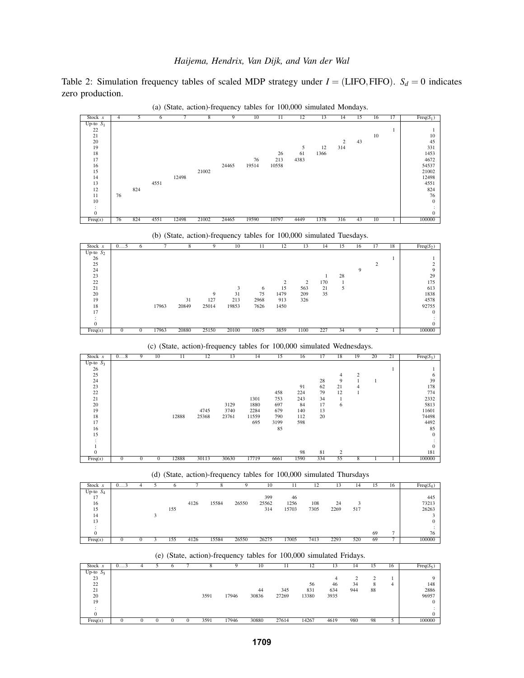Table 2: Simulation frequency tables of scaled MDP strategy under  $I = (LIFO, FIFO)$ .  $S_d = 0$  indicates zero production.



(a) (State, action)-frequency tables for 100,000 simulated Mondays.

Freq(*x*) 0 0 17963 20880 25150 20100 10675 3859 1100 227 34 9 2 1 100000 (c) (State, action)-frequency tables for 100,000 simulated Wednesdays.

: : 0

| Stock $x$   | 08           | 9            | 10           | 11    | 12    | 13    | $1\overline{4}$ | 15   | 16   | 17  | 18             | 19             | 20 | 21 | $Freq(S_3)$ |
|-------------|--------------|--------------|--------------|-------|-------|-------|-----------------|------|------|-----|----------------|----------------|----|----|-------------|
| Up-to $S_3$ |              |              |              |       |       |       |                 |      |      |     |                |                |    |    |             |
| 26          |              |              |              |       |       |       |                 |      |      |     |                |                |    |    |             |
| 25          |              |              |              |       |       |       |                 |      |      |     | 4              | $\overline{2}$ |    |    | 6           |
| 24          |              |              |              |       |       |       |                 |      |      | 28  | 9              |                |    |    | 39          |
| 23          |              |              |              |       |       |       |                 |      | 91   | 62  | 21             | 4              |    |    | 178         |
| 22          |              |              |              |       |       |       |                 | 458  | 224  | 79  | 12             |                |    |    | 774         |
| 21          |              |              |              |       |       |       | 1301            | 753  | 243  | 34  |                |                |    |    | 2332        |
| 20          |              |              |              |       |       | 3129  | 1880            | 697  | 84   | 17  | 6              |                |    |    | 5813        |
| 19          |              |              |              |       | 4745  | 3740  | 2284            | 679  | 140  | 13  |                |                |    |    | 11601       |
| 18          |              |              |              | 12888 | 25368 | 23761 | 11559           | 790  | 112  | 20  |                |                |    |    | 74498       |
| 17          |              |              |              |       |       |       | 695             | 3199 | 598  |     |                |                |    |    | 4492        |
| 16          |              |              |              |       |       |       |                 | 85   |      |     |                |                |    |    | 85          |
| 15          |              |              |              |       |       |       |                 |      |      |     |                |                |    |    | $\Omega$    |
|             |              |              |              |       |       |       |                 |      |      |     |                |                |    |    |             |
|             |              |              |              |       |       |       |                 |      |      |     |                |                |    |    | 0           |
| 0           |              |              |              |       |       |       |                 |      | 98   | 81  | $\overline{c}$ |                |    |    | 181         |
| Freq(x)     | $\mathbf{0}$ | $\mathbf{0}$ | $\mathbf{0}$ | 12888 | 30113 | 30630 | 17719           | 6661 | 1590 | 334 | 55             | 8              |    |    | 100000      |

(d) (State, action)-frequency tables for 100,000 simulated Thursdays

| Stock $x$   | 03 |   |     |      |       |       | 10    | 11    | 12   | 13   | 14  | 15 | 16 | $Freq(S_4)$ |
|-------------|----|---|-----|------|-------|-------|-------|-------|------|------|-----|----|----|-------------|
| Up-to $S_4$ |    |   |     |      |       |       |       |       |      |      |     |    |    |             |
| 17          |    |   |     |      |       |       | 399   | 46    |      |      |     |    |    | 445         |
| 16          |    |   |     | 4126 | 15584 | 26550 | 25562 | 1256  | 108  | 24   |     |    |    | 73213       |
| 15          |    |   | 155 |      |       |       | 314   | 15703 | 7305 | 2269 | 517 |    |    | 26263       |
| 14          |    |   |     |      |       |       |       |       |      |      |     |    |    |             |
| 13          |    |   |     |      |       |       |       |       |      |      |     |    |    |             |
|             |    |   |     |      |       |       |       |       |      |      |     |    |    |             |
|             |    |   |     |      |       |       |       |       |      |      |     | 69 | -  | 76          |
| Freq(x)     | 0  | 0 | 155 | 4126 | 15584 | 26550 | 26275 | 17005 | 7413 | 2293 | 520 | 69 |    | 100000      |

| Stock x     | 03 |  |          | ິ    |       | 10    |       | 14    | 13   | 14  | 15     | 16     | $Freq(S_5)$ |
|-------------|----|--|----------|------|-------|-------|-------|-------|------|-----|--------|--------|-------------|
| Up-to $S_5$ |    |  |          |      |       |       |       |       |      |     |        |        |             |
| 23          |    |  |          |      |       |       |       |       | 4    |     | $\sim$ |        | $\Omega$    |
| 22          |    |  |          |      |       |       |       | 56    | 46   | 34  | 8      | 4      | 148         |
| 21          |    |  |          |      |       | 44    | 345   | 831   | 634  | 944 | 88     |        | 2886        |
| 20          |    |  |          | 3591 | 17946 | 30836 | 27269 | 13380 | 3935 |     |        |        | 96957       |
| 19          |    |  |          |      |       |       |       |       |      |     |        |        |             |
|             |    |  |          |      |       |       |       |       |      |     |        |        |             |
|             |    |  |          |      |       |       |       |       |      |     |        |        | $\bf{0}$    |
| Freq(x)     | 0  |  | $\Omega$ | 3591 | 17946 | 30880 | 27614 | 14267 | 4619 | 980 | 98     | Б<br>٠ | 100000      |

(e) (State, action)-frequency tables for 100,000 simulated Fridays.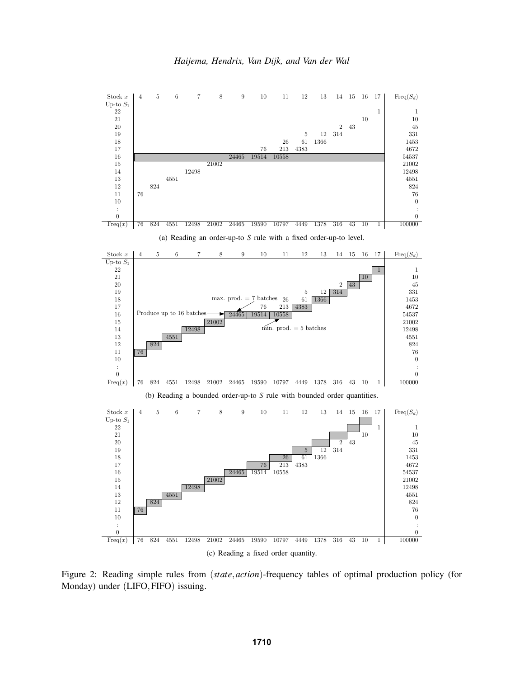

Figure 2: Reading simple rules from (*state*,*action*)-frequency tables of optimal production policy (for Monday) under (LIFO,FIFO) issuing.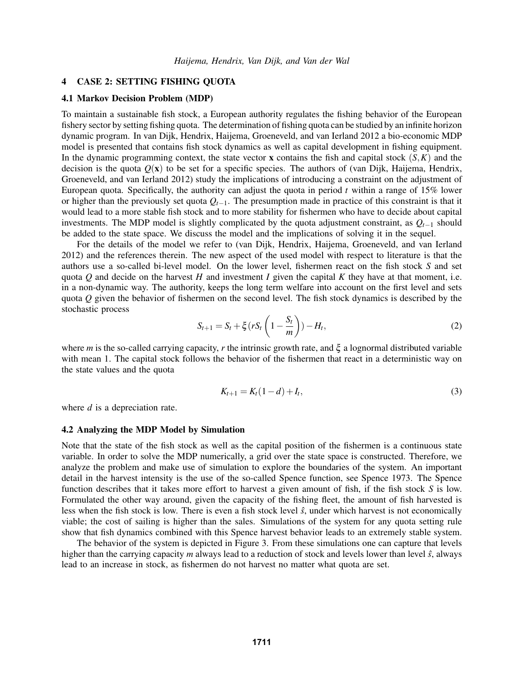#### 4 CASE 2: SETTING FISHING QUOTA

## 4.1 Markov Decision Problem (MDP)

To maintain a sustainable fish stock, a European authority regulates the fishing behavior of the European fishery sector by setting fishing quota. The determination of fishing quota can be studied by an infinite horizon dynamic program. In van Dijk, Hendrix, Haijema, Groeneveld, and van Ierland 2012 a bio-economic MDP model is presented that contains fish stock dynamics as well as capital development in fishing equipment. In the dynamic programming context, the state vector **x** contains the fish and capital stock  $(S,K)$  and the decision is the quota  $Q(x)$  to be set for a specific species. The authors of (van Dijk, Haijema, Hendrix, Groeneveld, and van Ierland 2012) study the implications of introducing a constraint on the adjustment of European quota. Specifically, the authority can adjust the quota in period *t* within a range of 15% lower or higher than the previously set quota *Qt*−1. The presumption made in practice of this constraint is that it would lead to a more stable fish stock and to more stability for fishermen who have to decide about capital investments. The MDP model is slightly complicated by the quota adjustment constraint, as *Qt*−<sup>1</sup> should be added to the state space. We discuss the model and the implications of solving it in the sequel.

For the details of the model we refer to (van Dijk, Hendrix, Haijema, Groeneveld, and van Ierland 2012) and the references therein. The new aspect of the used model with respect to literature is that the authors use a so-called bi-level model. On the lower level, fishermen react on the fish stock *S* and set quota  $Q$  and decide on the harvest  $H$  and investment  $I$  given the capital  $K$  they have at that moment, i.e. in a non-dynamic way. The authority, keeps the long term welfare into account on the first level and sets quota *Q* given the behavior of fishermen on the second level. The fish stock dynamics is described by the stochastic process

$$
S_{t+1} = S_t + \xi (rS_t \left(1 - \frac{S_t}{m}\right)) - H_t,
$$
\n(2)

where *m* is the so-called carrying capacity, *r* the intrinsic growth rate, and  $\xi$  a lognormal distributed variable with mean 1. The capital stock follows the behavior of the fishermen that react in a deterministic way on the state values and the quota

$$
K_{t+1} = K_t(1-d) + I_t,
$$
\n(3)

where *d* is a depreciation rate.

#### 4.2 Analyzing the MDP Model by Simulation

Note that the state of the fish stock as well as the capital position of the fishermen is a continuous state variable. In order to solve the MDP numerically, a grid over the state space is constructed. Therefore, we analyze the problem and make use of simulation to explore the boundaries of the system. An important detail in the harvest intensity is the use of the so-called Spence function, see Spence 1973. The Spence function describes that it takes more effort to harvest a given amount of fish, if the fish stock *S* is low. Formulated the other way around, given the capacity of the fishing fleet, the amount of fish harvested is less when the fish stock is low. There is even a fish stock level ˆ*s*, under which harvest is not economically viable; the cost of sailing is higher than the sales. Simulations of the system for any quota setting rule show that fish dynamics combined with this Spence harvest behavior leads to an extremely stable system.

The behavior of the system is depicted in Figure 3. From these simulations one can capture that levels higher than the carrying capacity *m* always lead to a reduction of stock and levels lower than level  $\hat{s}$ , always lead to an increase in stock, as fishermen do not harvest no matter what quota are set.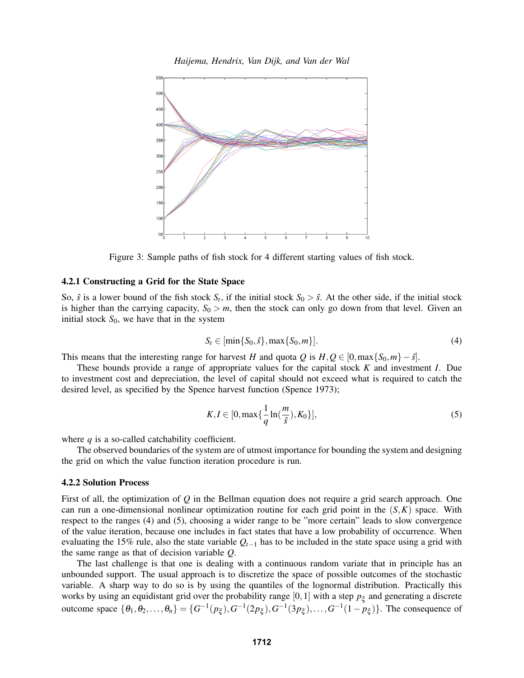*Haijema, Hendrix, Van Dijk, and Van der Wal*



Figure 3: Sample paths of fish stock for 4 different starting values of fish stock.

#### 4.2.1 Constructing a Grid for the State Space

So,  $\hat{s}$  is a lower bound of the fish stock  $S_t$ , if the initial stock  $S_0 > \hat{s}$ . At the other side, if the initial stock is higher than the carrying capacity,  $S_0 > m$ , then the stock can only go down from that level. Given an initial stock  $S_0$ , we have that in the system

$$
S_t \in [\min\{S_0, \hat{s}\}, \max\{S_0, m\}].
$$
\n(4)

This means that the interesting range for harvest *H* and quota *Q* is  $H, Q \in [0, \max\{S_0, m\} - \hat{s}]$ .

These bounds provide a range of appropriate values for the capital stock *K* and investment *I*. Due to investment cost and depreciation, the level of capital should not exceed what is required to catch the desired level, as specified by the Spence harvest function (Spence 1973);

$$
K, I \in [0, \max\{\frac{1}{q}\ln(\frac{m}{\hat{s}}), K_0\}],
$$
\n(5)

where  $q$  is a so-called catchability coefficient.

The observed boundaries of the system are of utmost importance for bounding the system and designing the grid on which the value function iteration procedure is run.

#### 4.2.2 Solution Process

First of all, the optimization of *Q* in the Bellman equation does not require a grid search approach. One can run a one-dimensional nonlinear optimization routine for each grid point in the  $(S,K)$  space. With respect to the ranges (4) and (5), choosing a wider range to be "more certain" leads to slow convergence of the value iteration, because one includes in fact states that have a low probability of occurrence. When evaluating the 15% rule, also the state variable  $Q_{t-1}$  has to be included in the state space using a grid with the same range as that of decision variable *Q*.

The last challenge is that one is dealing with a continuous random variate that in principle has an unbounded support. The usual approach is to discretize the space of possible outcomes of the stochastic variable. A sharp way to do so is by using the quantiles of the lognormal distribution. Practically this works by using an equidistant grid over the probability range  $[0,1]$  with a step  $p_{\xi}$  and generating a discrete outcome space  $\{\theta_1, \theta_2, ..., \theta_n\} = \{G^{-1}(p_{\xi}), G^{-1}(2p_{\xi}), G^{-1}(3p_{\xi}), ..., G^{-1}(1-p_{\xi})\}$ . The consequence of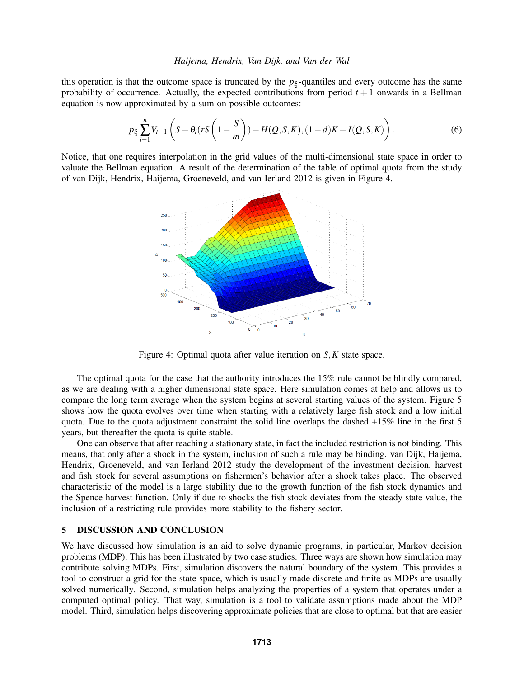this operation is that the outcome space is truncated by the  $p_{\xi}$ -quantiles and every outcome has the same probability of occurrence. Actually, the expected contributions from period  $t + 1$  onwards in a Bellman equation is now approximated by a sum on possible outcomes:

$$
p_{\xi} \sum_{i=1}^{n} V_{t+1} \left( S + \theta_i (rS \left( 1 - \frac{S}{m} \right)) - H(Q, S, K), (1 - d)K + I(Q, S, K) \right). \tag{6}
$$

Notice, that one requires interpolation in the grid values of the multi-dimensional state space in order to valuate the Bellman equation. A result of the determination of the table of optimal quota from the study of van Dijk, Hendrix, Haijema, Groeneveld, and van Ierland 2012 is given in Figure 4.



Figure 4: Optimal quota after value iteration on *S*,*K* state space.

The optimal quota for the case that the authority introduces the 15% rule cannot be blindly compared, as we are dealing with a higher dimensional state space. Here simulation comes at help and allows us to compare the long term average when the system begins at several starting values of the system. Figure 5 shows how the quota evolves over time when starting with a relatively large fish stock and a low initial quota. Due to the quota adjustment constraint the solid line overlaps the dashed +15% line in the first 5 years, but thereafter the quota is quite stable.

One can observe that after reaching a stationary state, in fact the included restriction is not binding. This means, that only after a shock in the system, inclusion of such a rule may be binding. van Dijk, Haijema, Hendrix, Groeneveld, and van Ierland 2012 study the development of the investment decision, harvest and fish stock for several assumptions on fishermen's behavior after a shock takes place. The observed characteristic of the model is a large stability due to the growth function of the fish stock dynamics and the Spence harvest function. Only if due to shocks the fish stock deviates from the steady state value, the inclusion of a restricting rule provides more stability to the fishery sector.

#### 5 DISCUSSION AND CONCLUSION

We have discussed how simulation is an aid to solve dynamic programs, in particular, Markov decision problems (MDP). This has been illustrated by two case studies. Three ways are shown how simulation may contribute solving MDPs. First, simulation discovers the natural boundary of the system. This provides a tool to construct a grid for the state space, which is usually made discrete and finite as MDPs are usually solved numerically. Second, simulation helps analyzing the properties of a system that operates under a computed optimal policy. That way, simulation is a tool to validate assumptions made about the MDP model. Third, simulation helps discovering approximate policies that are close to optimal but that are easier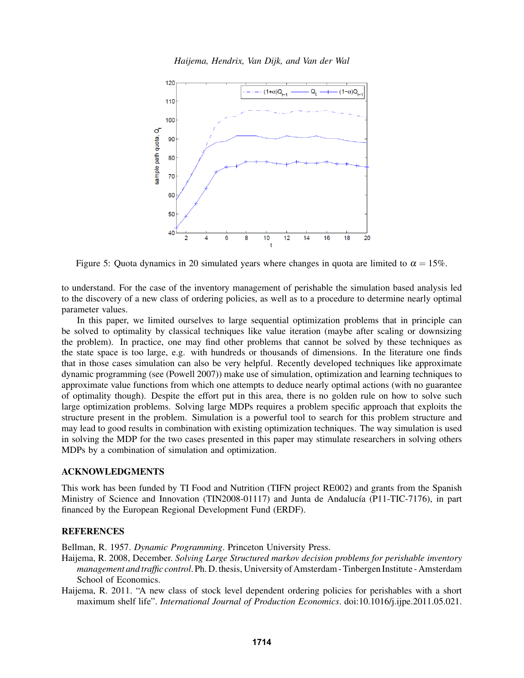

Figure 5: Quota dynamics in 20 simulated years where changes in quota are limited to  $\alpha = 15\%$ .

to understand. For the case of the inventory management of perishable the simulation based analysis led to the discovery of a new class of ordering policies, as well as to a procedure to determine nearly optimal parameter values.

In this paper, we limited ourselves to large sequential optimization problems that in principle can be solved to optimality by classical techniques like value iteration (maybe after scaling or downsizing the problem). In practice, one may find other problems that cannot be solved by these techniques as the state space is too large, e.g. with hundreds or thousands of dimensions. In the literature one finds that in those cases simulation can also be very helpful. Recently developed techniques like approximate dynamic programming (see (Powell 2007)) make use of simulation, optimization and learning techniques to approximate value functions from which one attempts to deduce nearly optimal actions (with no guarantee of optimality though). Despite the effort put in this area, there is no golden rule on how to solve such large optimization problems. Solving large MDPs requires a problem specific approach that exploits the structure present in the problem. Simulation is a powerful tool to search for this problem structure and may lead to good results in combination with existing optimization techniques. The way simulation is used in solving the MDP for the two cases presented in this paper may stimulate researchers in solving others MDPs by a combination of simulation and optimization.

### ACKNOWLEDGMENTS

This work has been funded by TI Food and Nutrition (TIFN project RE002) and grants from the Spanish Ministry of Science and Innovation (TIN2008-01117) and Junta de Andalucía (P11-TIC-7176), in part financed by the European Regional Development Fund (ERDF).

#### **REFERENCES**

Bellman, R. 1957. *Dynamic Programming*. Princeton University Press.

- Haijema, R. 2008, December. *Solving Large Structured markov decision problems for perishable inventory management and traffic control*. Ph. D. thesis, University of Amsterdam - Tinbergen Institute - Amsterdam School of Economics.
- Haijema, R. 2011. "A new class of stock level dependent ordering policies for perishables with a short maximum shelf life". *International Journal of Production Economics*. doi:10.1016/j.ijpe.2011.05.021.